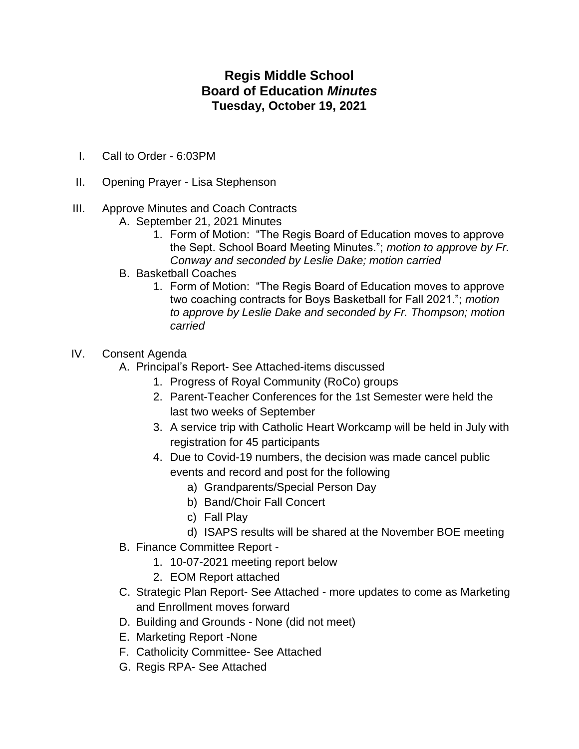## **Regis Middle School Board of Education** *Minutes* **Tuesday, October 19, 2021**

- I. Call to Order 6:03PM
- II. Opening Prayer Lisa Stephenson
- III. Approve Minutes and Coach Contracts
	- A. September 21, 2021 Minutes
		- 1. Form of Motion: "The Regis Board of Education moves to approve the Sept. School Board Meeting Minutes."; *motion to approve by Fr. Conway and seconded by Leslie Dake; motion carried*
	- B. Basketball Coaches
		- 1. Form of Motion: "The Regis Board of Education moves to approve two coaching contracts for Boys Basketball for Fall 2021."; *motion to approve by Leslie Dake and seconded by Fr. Thompson; motion carried*
- IV. Consent Agenda
	- A. Principal's Report- See Attached-items discussed
		- 1. Progress of Royal Community (RoCo) groups
		- 2. Parent-Teacher Conferences for the 1st Semester were held the last two weeks of September
		- 3. A service trip with Catholic Heart Workcamp will be held in July with registration for 45 participants
		- 4. Due to Covid-19 numbers, the decision was made cancel public events and record and post for the following
			- a) Grandparents/Special Person Day
			- b) Band/Choir Fall Concert
			- c) Fall Play
			- d) ISAPS results will be shared at the November BOE meeting
	- B. Finance Committee Report
		- 1. 10-07-2021 meeting report below
		- 2. EOM Report attached
	- C. Strategic Plan Report- See Attached more updates to come as Marketing and Enrollment moves forward
	- D. Building and Grounds None (did not meet)
	- E. Marketing Report -None
	- F. Catholicity Committee- See Attached
	- G. Regis RPA- See Attached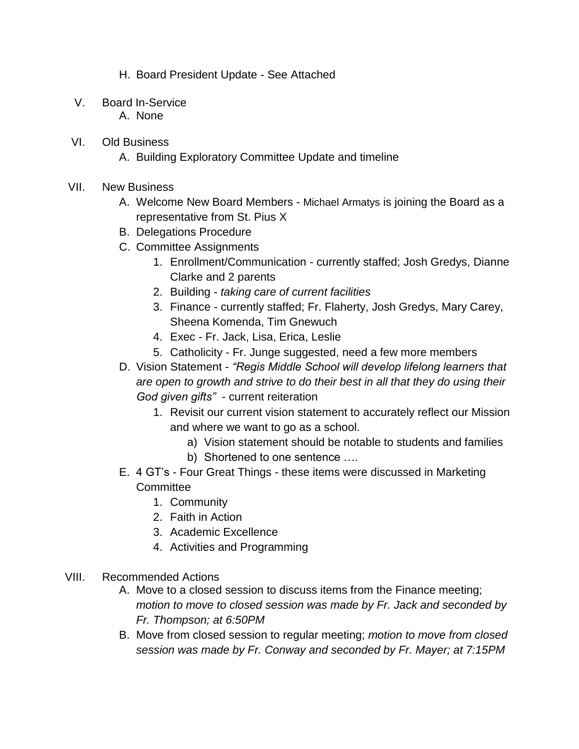- H. Board President Update See Attached
- V. Board In-Service
	- A. None
- VI. Old Business
	- A. Building Exploratory Committee Update and timeline
- VII. New Business
	- A. Welcome New Board Members Michael Armatys is joining the Board as a representative from St. Pius X
	- B. Delegations Procedure
	- C. Committee Assignments
		- 1. Enrollment/Communication currently staffed; Josh Gredys, Dianne Clarke and 2 parents
		- 2. Building *taking care of current facilities*
		- 3. Finance currently staffed; Fr. Flaherty, Josh Gredys, Mary Carey, Sheena Komenda, Tim Gnewuch
		- 4. Exec Fr. Jack, Lisa, Erica, Leslie
		- 5. Catholicity Fr. Junge suggested, need a few more members
	- D. Vision Statement *"Regis Middle School will develop lifelong learners that are open to growth and strive to do their best in all that they do using their God given gifts"* - current reiteration
		- 1. Revisit our current vision statement to accurately reflect our Mission and where we want to go as a school.
			- a) Vision statement should be notable to students and families
			- b) Shortened to one sentence ….
	- E. 4 GT's Four Great Things these items were discussed in Marketing **Committee** 
		- 1. Community
		- 2. Faith in Action
		- 3. Academic Excellence
		- 4. Activities and Programming
- VIII. Recommended Actions
	- A. Move to a closed session to discuss items from the Finance meeting; *motion to move to closed session was made by Fr. Jack and seconded by Fr. Thompson; at 6:50PM*
	- B. Move from closed session to regular meeting; *motion to move from closed session was made by Fr. Conway and seconded by Fr. Mayer; at 7:15PM*